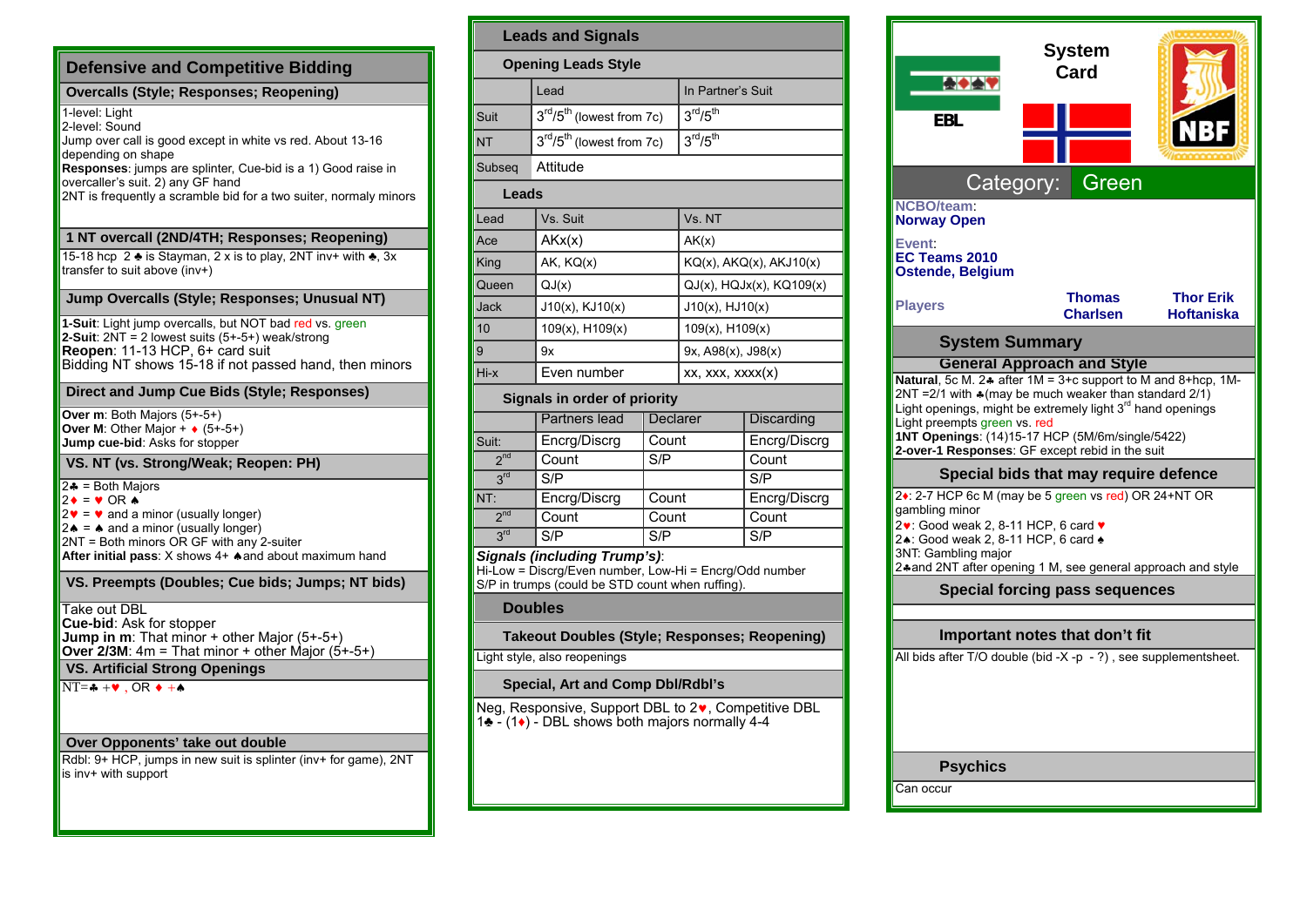| <b>Defensive and Competitive Bidding</b>                                                                                                                                                                                                                                                                 |  |  |  |  |
|----------------------------------------------------------------------------------------------------------------------------------------------------------------------------------------------------------------------------------------------------------------------------------------------------------|--|--|--|--|
| <b>Overcalls (Style; Responses; Reopening)</b>                                                                                                                                                                                                                                                           |  |  |  |  |
| 1-level: Light<br>2-level: Sound<br>Jump over call is good except in white vs red. About 13-16<br>depending on shape<br><b>Responses:</b> jumps are splinter, Cue-bid is a 1) Good raise in<br>overcaller's suit. 2) any GF hand<br>2NT is frequently a scramble bid for a two suiter, normaly minors    |  |  |  |  |
| 1 NT overcall (2ND/4TH; Responses; Reopening)                                                                                                                                                                                                                                                            |  |  |  |  |
| 15-18 hcp 2 ♣ is Stayman, 2 x is to play, 2NT inv+ with ♣, 3x<br>transfer to suit above (inv+)                                                                                                                                                                                                           |  |  |  |  |
| Jump Overcalls (Style; Responses; Unusual NT)                                                                                                                                                                                                                                                            |  |  |  |  |
| 1-Suit: Light jump overcalls, but NOT bad red vs. green<br>2-Suit: $2NT = 2$ lowest suits $(5+.5+)$ weak/strong<br>Reopen: 11-13 HCP, 6+ card suit<br>Bidding NT shows 15-18 if not passed hand, then minors                                                                                             |  |  |  |  |
| Direct and Jump Cue Bids (Style; Responses)                                                                                                                                                                                                                                                              |  |  |  |  |
| Over m: Both Majors (5+-5+)<br>Over M: Other Major + $\bullet$ (5+-5+)<br>Jump cue-bid: Asks for stopper                                                                                                                                                                                                 |  |  |  |  |
| VS. NT (vs. Strong/Weak; Reopen: PH)                                                                                                                                                                                                                                                                     |  |  |  |  |
| $2 - 5 = 1$ = Both Majors<br>$2 \bullet = \bullet$ OR $\bullet$<br>$2\mathbf{v} = \mathbf{v}$ and a minor (usually longer)<br>$2 \triangle$ = $\triangle$ and a minor (usually longer)<br>2NT = Both minors OR GF with any 2-suiter<br>After initial pass: X shows 4+ $\triangle$ and about maximum hand |  |  |  |  |
| VS. Preempts (Doubles; Cue bids; Jumps; NT bids)                                                                                                                                                                                                                                                         |  |  |  |  |
| Take out DBL<br><b>Cue-bid: Ask for stopper</b><br><b>Jump in m</b> : That minor $+$ other Major (5+-5+)<br>Over $2/3M$ : 4m = That minor + other Major (5+-5+)                                                                                                                                          |  |  |  |  |
| <b>VS. Artificial Strong Openings</b>                                                                                                                                                                                                                                                                    |  |  |  |  |
| $NT = + \cdot \cdot$ , OR $\cdot + \cdot$                                                                                                                                                                                                                                                                |  |  |  |  |
| Over Opponents' take out double                                                                                                                                                                                                                                                                          |  |  |  |  |
| Rdbl: 9+ HCP, jumps in new suit is splinter (inv+ for game), 2NT<br>is inv+ with support                                                                                                                                                                                                                 |  |  |  |  |

| <b>Leads and Signals</b>                                                               |                                                   |          |                                  |                   |  |  |  |  |
|----------------------------------------------------------------------------------------|---------------------------------------------------|----------|----------------------------------|-------------------|--|--|--|--|
| <b>Opening Leads Style</b>                                                             |                                                   |          |                                  |                   |  |  |  |  |
|                                                                                        | Lead                                              |          | In Partner's Suit                |                   |  |  |  |  |
| Suit                                                                                   | 3 <sup>rd</sup> /5 <sup>th</sup> (lowest from 7c) |          | 3 <sup>rd</sup> /5 <sup>th</sup> |                   |  |  |  |  |
| <b>NT</b>                                                                              | $3rd/5th$ (lowest from 7c)                        |          | 3 <sup>rd</sup> /5 <sup>th</sup> |                   |  |  |  |  |
| Subseg                                                                                 | Attitude                                          |          |                                  |                   |  |  |  |  |
| Leads                                                                                  |                                                   |          |                                  |                   |  |  |  |  |
| Lead                                                                                   | Vs. Suit                                          |          | Vs. NT                           |                   |  |  |  |  |
| Ace                                                                                    | AKx(x)                                            |          | AK(x)                            |                   |  |  |  |  |
| King                                                                                   | AK, KQ(x)                                         |          | KQ(x), AKQ(x), AKJ10(x)          |                   |  |  |  |  |
| Queen                                                                                  | QJ(x)                                             |          | $QJ(x)$ , $HQJx(x)$ , $KQ109(x)$ |                   |  |  |  |  |
| <b>Jack</b>                                                                            | $J10(x)$ , $KJ10(x)$                              |          | $J10(x)$ , $HJ10(x)$             |                   |  |  |  |  |
| 10                                                                                     | $109(x)$ , H $109(x)$                             |          | $109(x)$ , $H109(x)$             |                   |  |  |  |  |
| 9                                                                                      | 9x                                                |          | 9x, A98(x), J98(x)               |                   |  |  |  |  |
| Hi-x                                                                                   | Even number                                       |          | xx, xxx, xxxx(x)                 |                   |  |  |  |  |
| Signals in order of priority                                                           |                                                   |          |                                  |                   |  |  |  |  |
|                                                                                        | <b>Partners lead</b>                              | Declarer |                                  | <b>Discarding</b> |  |  |  |  |
| Suit:                                                                                  | Encrg/Discrg<br>Count                             |          |                                  | Encrg/Discrg      |  |  |  |  |
| 2 <sub>nd</sub>                                                                        | Count<br>S/P                                      |          |                                  | Count             |  |  |  |  |
| 3 <sup>rd</sup>                                                                        | S/P                                               |          |                                  | S/P               |  |  |  |  |
| NT:                                                                                    | Count<br>Encrg/Discrg                             |          |                                  | Encrg/Discrg      |  |  |  |  |
| 2 <sub>nd</sub>                                                                        | Count<br>Count                                    |          |                                  | Count             |  |  |  |  |
| 3 <sup>rd</sup>                                                                        | S/P<br>S/P                                        |          |                                  | S/P               |  |  |  |  |
| Signals (including Trump's):<br>Hi-Low = Discrg/Even number, Low-Hi = Encrg/Odd number |                                                   |          |                                  |                   |  |  |  |  |

S/P in trumps (could be STD count when ruffing).

## **Doubles**

**Takeout Doubles (Style; Responses; Reopening)** 

## Light style, also reopenings

## **Special, Art and Comp Dbl/Rdbl's**

Neg, Responsive, Support DBL to 2 $\bullet$ , Competitive DBL 1♣ - (1♦) - DBL shows both majors normally 4-4

| FBI                                                                                                                                                                                                                                                                                                                                        | System<br>Card                        |                                       |  |
|--------------------------------------------------------------------------------------------------------------------------------------------------------------------------------------------------------------------------------------------------------------------------------------------------------------------------------------------|---------------------------------------|---------------------------------------|--|
| Category:                                                                                                                                                                                                                                                                                                                                  | Green                                 |                                       |  |
| <b>NCBO/team:</b><br><b>Norway Open</b>                                                                                                                                                                                                                                                                                                    |                                       |                                       |  |
| Event:<br>EC Teams 2010<br><b>Ostende, Belgium</b>                                                                                                                                                                                                                                                                                         |                                       |                                       |  |
| <b>Players</b>                                                                                                                                                                                                                                                                                                                             | <b>Thomas</b><br><b>Charlsen</b>      | <b>Thor Frik</b><br><b>Hoftaniska</b> |  |
| <b>System Summary</b>                                                                                                                                                                                                                                                                                                                      |                                       |                                       |  |
| <b>General Approach and Style</b>                                                                                                                                                                                                                                                                                                          |                                       |                                       |  |
| Natural, 5c M. 2. after 1M = 3+c support to M and 8+hcp, 1M-<br>$2NT = 2/1$ with $*(may be much weaker than standard 2/1)$<br>Light openings, might be extremely light 3 <sup>rd</sup> hand openings<br>Light preempts green vs. red<br>1NT Openings: (14)15-17 HCP (5M/6m/single/5422)<br>2-over-1 Responses: GF except rebid in the suit |                                       |                                       |  |
|                                                                                                                                                                                                                                                                                                                                            | Special bids that may require defence |                                       |  |
| 2. 2-7 HCP 6c M (may be 5 green vs red) OR 24+NT OR<br>gambling minor<br>2v: Good weak 2, 8-11 HCP, 6 card v<br>24: Good weak 2, 8-11 HCP, 6 card 4<br>3NT: Gambling major<br>2*and 2NT after opening 1 M, see general approach and style                                                                                                  |                                       |                                       |  |
|                                                                                                                                                                                                                                                                                                                                            | <b>Special forcing pass sequences</b> |                                       |  |
|                                                                                                                                                                                                                                                                                                                                            |                                       |                                       |  |
| Important notes that don't fit                                                                                                                                                                                                                                                                                                             |                                       |                                       |  |
| All bids after $T/O$ double (bid -X -p - ?), see supplementsheet.                                                                                                                                                                                                                                                                          |                                       |                                       |  |

**Psychics** 

Can occur